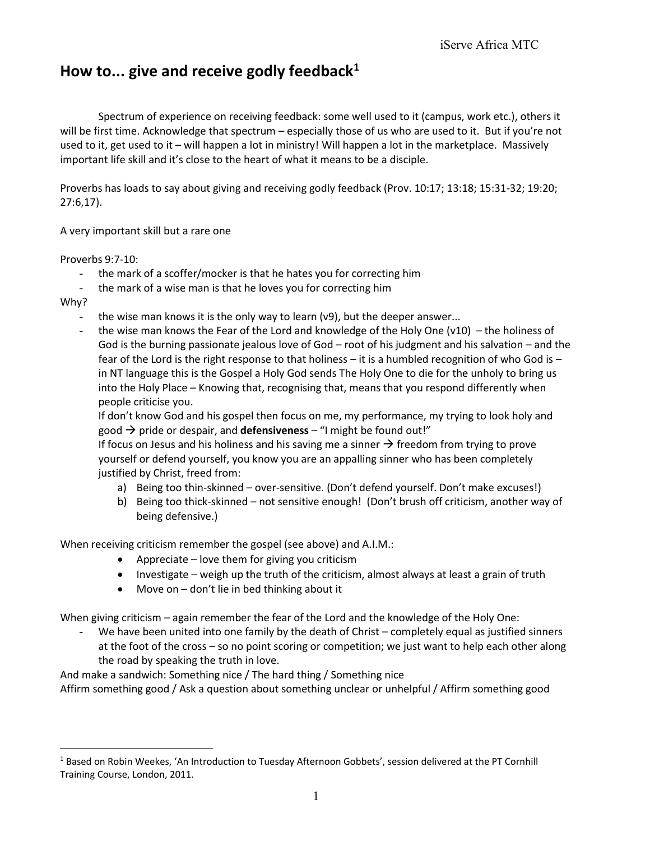## **How to... give and receive godly feedback<sup>1</sup>**

Spectrum of experience on receiving feedback: some well used to it (campus, work etc.), others it will be first time. Acknowledge that spectrum – especially those of us who are used to it. But if you're not used to it, get used to it – will happen a lot in ministry! Will happen a lot in the marketplace. Massively important life skill and it's close to the heart of what it means to be a disciple.

Proverbs has loads to say about giving and receiving godly feedback (Prov. 10:17; 13:18; 15:31-32; 19:20; 27:6,17).

A very important skill but a rare one

Proverbs 9:7-10:

- the mark of a scoffer/mocker is that he hates you for correcting him
- the mark of a wise man is that he loves you for correcting him

Why?

 $\overline{a}$ 

- the wise man knows it is the only way to learn (v9), but the deeper answer...
- the wise man knows the Fear of the Lord and knowledge of the Holy One (v10) the holiness of God is the burning passionate jealous love of God – root of his judgment and his salvation – and the fear of the Lord is the right response to that holiness – it is a humbled recognition of who God is – in NT language this is the Gospel a Holy God sends The Holy One to die for the unholy to bring us into the Holy Place – Knowing that, recognising that, means that you respond differently when people criticise you.

If don't know God and his gospel then focus on me, my performance, my trying to look holy and good  $\rightarrow$  pride or despair, and **defensiveness** – "I might be found out!"

If focus on Jesus and his holiness and his saving me a sinner  $\rightarrow$  freedom from trying to prove yourself or defend yourself, you know you are an appalling sinner who has been completely justified by Christ, freed from:

- a) Being too thin-skinned over-sensitive. (Don't defend yourself. Don't make excuses!)
- b) Being too thick-skinned not sensitive enough! (Don't brush off criticism, another way of being defensive.)

When receiving criticism remember the gospel (see above) and A.I.M.:

- Appreciate love them for giving you criticism
- $\bullet$  Investigate weigh up the truth of the criticism, almost always at least a grain of truth
- Move on don't lie in bed thinking about it

When giving criticism – again remember the fear of the Lord and the knowledge of the Holy One:

We have been united into one family by the death of Christ – completely equal as justified sinners at the foot of the cross – so no point scoring or competition; we just want to help each other along the road by speaking the truth in love.

And make a sandwich: Something nice / The hard thing / Something nice

Affirm something good / Ask a question about something unclear or unhelpful / Affirm something good

<sup>1</sup> Based on Robin Weekes, 'An Introduction to Tuesday Afternoon Gobbets', session delivered at the PT Cornhill Training Course, London, 2011.